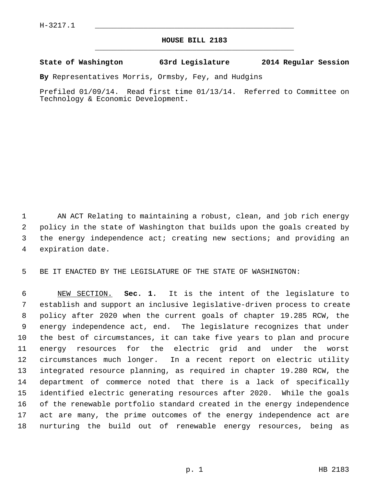## **HOUSE BILL 2183** \_\_\_\_\_\_\_\_\_\_\_\_\_\_\_\_\_\_\_\_\_\_\_\_\_\_\_\_\_\_\_\_\_\_\_\_\_\_\_\_\_\_\_\_\_

## **State of Washington 63rd Legislature 2014 Regular Session**

**By** Representatives Morris, Ormsby, Fey, and Hudgins

Prefiled 01/09/14. Read first time 01/13/14. Referred to Committee on Technology & Economic Development.

 1 AN ACT Relating to maintaining a robust, clean, and job rich energy 2 policy in the state of Washington that builds upon the goals created by 3 the energy independence act; creating new sections; and providing an 4 expiration date.

5 BE IT ENACTED BY THE LEGISLATURE OF THE STATE OF WASHINGTON:

 6 NEW SECTION. **Sec. 1.** It is the intent of the legislature to 7 establish and support an inclusive legislative-driven process to create 8 policy after 2020 when the current goals of chapter 19.285 RCW, the 9 energy independence act, end. The legislature recognizes that under 10 the best of circumstances, it can take five years to plan and procure 11 energy resources for the electric grid and under the worst 12 circumstances much longer. In a recent report on electric utility 13 integrated resource planning, as required in chapter 19.280 RCW, the 14 department of commerce noted that there is a lack of specifically 15 identified electric generating resources after 2020. While the goals 16 of the renewable portfolio standard created in the energy independence 17 act are many, the prime outcomes of the energy independence act are 18 nurturing the build out of renewable energy resources, being as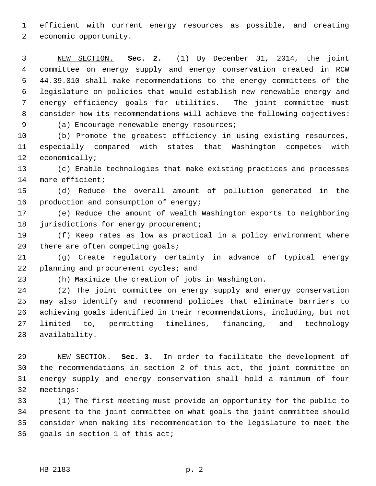1 efficient with current energy resources as possible, and creating 2 economic opportunity.

 3 NEW SECTION. **Sec. 2.** (1) By December 31, 2014, the joint 4 committee on energy supply and energy conservation created in RCW 5 44.39.010 shall make recommendations to the energy committees of the 6 legislature on policies that would establish new renewable energy and 7 energy efficiency goals for utilities. The joint committee must 8 consider how its recommendations will achieve the following objectives:

9 (a) Encourage renewable energy resources;

10 (b) Promote the greatest efficiency in using existing resources, 11 especially compared with states that Washington competes with 12 economically;

13 (c) Enable technologies that make existing practices and processes 14 more efficient;

15 (d) Reduce the overall amount of pollution generated in the 16 production and consumption of energy;

17 (e) Reduce the amount of wealth Washington exports to neighboring 18 jurisdictions for energy procurement;

19 (f) Keep rates as low as practical in a policy environment where 20 there are often competing goals;

21 (g) Create regulatory certainty in advance of typical energy 22 planning and procurement cycles; and

23 (h) Maximize the creation of jobs in Washington.

24 (2) The joint committee on energy supply and energy conservation 25 may also identify and recommend policies that eliminate barriers to 26 achieving goals identified in their recommendations, including, but not 27 limited to, permitting timelines, financing, and technology 28 availability.

29 NEW SECTION. **Sec. 3.** In order to facilitate the development of 30 the recommendations in section 2 of this act, the joint committee on 31 energy supply and energy conservation shall hold a minimum of four 32 meetings:

33 (1) The first meeting must provide an opportunity for the public to 34 present to the joint committee on what goals the joint committee should 35 consider when making its recommendation to the legislature to meet the 36 goals in section 1 of this act;